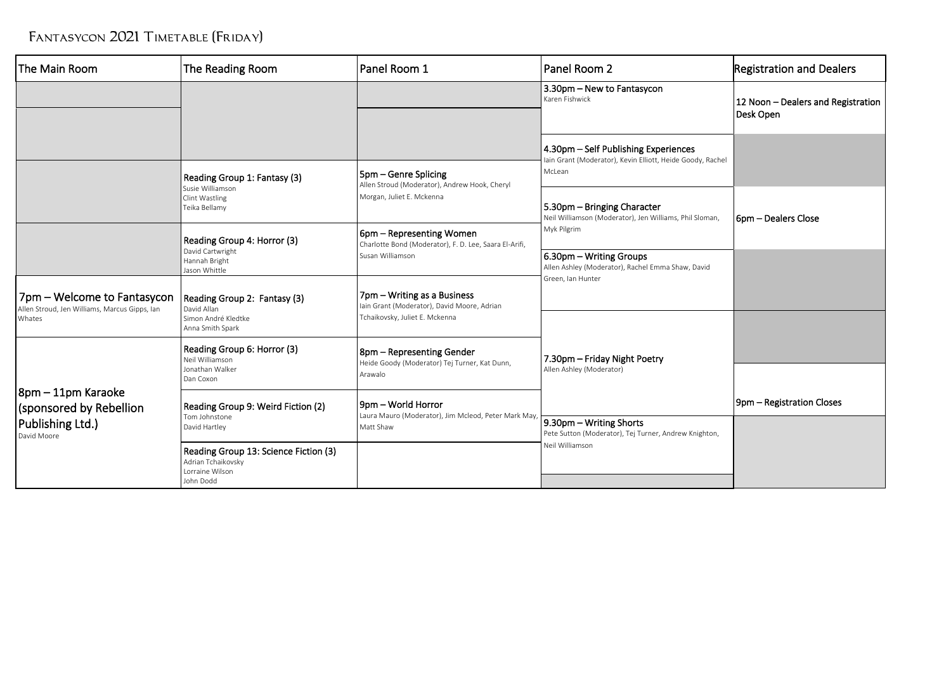## FANTASYCON 2021 TIMETABLE (FRIDAY)

| The Main Room                                                                | The Reading Room                                                                            | Panel Room 1                                                                       | Panel Room 2                                                                                       | <b>Registration and Dealers</b>                 |
|------------------------------------------------------------------------------|---------------------------------------------------------------------------------------------|------------------------------------------------------------------------------------|----------------------------------------------------------------------------------------------------|-------------------------------------------------|
|                                                                              |                                                                                             |                                                                                    | 3.30pm - New to Fantasycon<br>Karen Fishwick                                                       | 12 Noon - Dealers and Registration<br>Desk Open |
|                                                                              |                                                                                             |                                                                                    | 4.30pm - Self Publishing Experiences<br>lain Grant (Moderator), Kevin Elliott, Heide Goody, Rachel |                                                 |
|                                                                              | Reading Group 1: Fantasy (3)<br>Susie Williamson                                            | 5pm – Genre Splicing<br>Allen Stroud (Moderator), Andrew Hook, Cheryl              | McLean                                                                                             |                                                 |
|                                                                              | Clint Wastling<br>Teika Bellamy                                                             | Morgan, Juliet E. Mckenna                                                          | 5.30pm - Bringing Character<br>Neil Williamson (Moderator), Jen Williams, Phil Sloman,             | 6pm - Dealers Close                             |
|                                                                              | Reading Group 4: Horror (3)                                                                 | 6pm – Representing Women<br>Charlotte Bond (Moderator), F. D. Lee, Saara El-Arifi, | Myk Pilgrim                                                                                        |                                                 |
|                                                                              | David Cartwright<br>Hannah Bright<br>Jason Whittle                                          | Susan Williamson                                                                   | 6.30pm - Writing Groups<br>Allen Ashley (Moderator), Rachel Emma Shaw, David<br>Green, Ian Hunter  |                                                 |
| 7pm – Welcome to Fantasycon<br>Allen Stroud, Jen Williams, Marcus Gipps, Ian | Reading Group 2: Fantasy (3)<br>David Allan                                                 | 7pm – Writing as a Business<br>Iain Grant (Moderator), David Moore, Adrian         |                                                                                                    |                                                 |
| Whates                                                                       | Simon André Kledtke<br>Anna Smith Spark                                                     | Tchaikovsky, Juliet E. Mckenna                                                     |                                                                                                    |                                                 |
|                                                                              | Reading Group 6: Horror (3)<br>Neil Williamson                                              | 8pm – Representing Gender<br>Heide Goody (Moderator) Tej Turner, Kat Dunn,         | 7.30pm - Friday Night Poetry                                                                       |                                                 |
|                                                                              | Jonathan Walker<br>Dan Coxon                                                                | Arawalo                                                                            | Allen Ashley (Moderator)                                                                           |                                                 |
| 8pm – 11pm Karaoke<br>(sponsored by Rebellion                                | Reading Group 9: Weird Fiction (2)                                                          | 9pm - World Horror<br>Laura Mauro (Moderator), Jim Mcleod, Peter Mark May,         |                                                                                                    | 9pm - Registration Closes                       |
| Publishing Ltd.)<br>David Moore                                              | Tom Johnstone<br>David Hartley                                                              | Matt Shaw                                                                          | 9.30pm - Writing Shorts<br>Pete Sutton (Moderator), Tej Turner, Andrew Knighton,                   |                                                 |
|                                                                              | Reading Group 13: Science Fiction (3)<br>Adrian Tchaikovsky<br>Lorraine Wilson<br>John Dodd |                                                                                    | Neil Williamson                                                                                    |                                                 |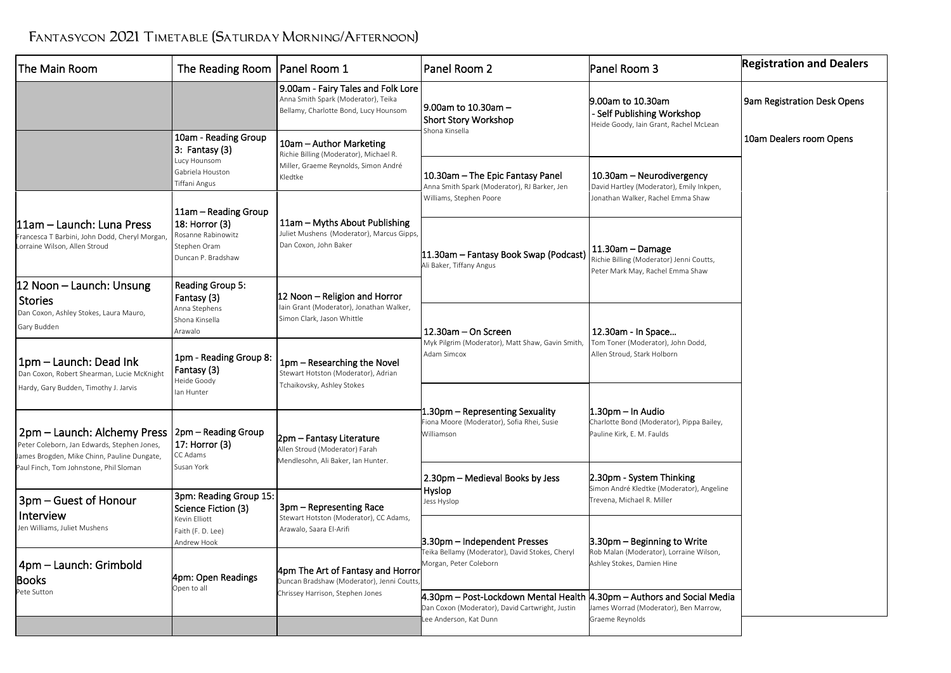## FANTASYCON 2021 TIMETABLE (SATURDAY MORNING/AFTERNOON)

| The Main Room                                                                                                                                                                                                   | The Reading Room                                                           | Panel Room 1                                                                                                         | Panel Room 2                                                                                                               | Panel Room 3                                                                                               | <b>Registration and Dealers</b> |
|-----------------------------------------------------------------------------------------------------------------------------------------------------------------------------------------------------------------|----------------------------------------------------------------------------|----------------------------------------------------------------------------------------------------------------------|----------------------------------------------------------------------------------------------------------------------------|------------------------------------------------------------------------------------------------------------|---------------------------------|
|                                                                                                                                                                                                                 |                                                                            | 9.00am - Fairy Tales and Folk Lore<br>Anna Smith Spark (Moderator), Teika<br>Bellamy, Charlotte Bond, Lucy Hounsom   | l 9.00am to 10.30am –<br><b>Short Story Workshop</b><br>Shona Kinsella                                                     | 9.00am to 10.30am<br>- Self Publishing Workshop<br>Heide Goody, Iain Grant, Rachel McLean                  | 9am Registration Desk Opens     |
|                                                                                                                                                                                                                 | 10am - Reading Group<br>3: Fantasy (3)                                     | 10am - Author Marketing<br>Richie Billing (Moderator), Michael R.<br>Miller, Graeme Reynolds, Simon André<br>Kledtke |                                                                                                                            |                                                                                                            | 10am Dealers room Opens         |
|                                                                                                                                                                                                                 | Lucy Hounsom<br>Gabriela Houston<br><b>Tiffani Angus</b>                   |                                                                                                                      | 10.30am - The Epic Fantasy Panel<br>Anna Smith Spark (Moderator), RJ Barker, Jen<br>Williams, Stephen Poore                | 10.30am - Neurodivergency<br>David Hartley (Moderator), Emily Inkpen,<br>Jonathan Walker, Rachel Emma Shaw |                                 |
|                                                                                                                                                                                                                 | 11am – Reading Group                                                       | 11am – Myths About Publishing<br>Juliet Mushens (Moderator), Marcus Gipps,<br>Dan Coxon, John Baker                  |                                                                                                                            |                                                                                                            |                                 |
| l11am – Launch: Luna Press<br>Francesca T Barbini, John Dodd, Cheryl Morgan,<br>Lorraine Wilson, Allen Stroud                                                                                                   | 18: Horror (3)<br>Rosanne Rabinowitz<br>Stephen Oram<br>Duncan P. Bradshaw |                                                                                                                      | 11.30am - Fantasy Book Swap (Podcast)<br>Ali Baker, Tiffany Angus                                                          | 11.30am - Damage<br>Richie Billing (Moderator) Jenni Coutts,<br>Peter Mark May, Rachel Emma Shaw           |                                 |
| 12 Noon – Launch: Unsung<br><b>Stories</b>                                                                                                                                                                      | Reading Group 5:<br>Fantasy (3)                                            | 12 Noon – Religion and Horror                                                                                        |                                                                                                                            |                                                                                                            |                                 |
| Dan Coxon, Ashley Stokes, Laura Mauro,<br>Gary Budden                                                                                                                                                           | Anna Stephens<br>Shona Kinsella<br>Arawalo                                 | lain Grant (Moderator), Jonathan Walker,<br>Simon Clark, Jason Whittle                                               | 12.30am - On Screen                                                                                                        | 12.30am - In Space                                                                                         |                                 |
| 1pm - Launch: Dead Ink<br>Dan Coxon, Robert Shearman, Lucie McKnight<br>Hardy, Gary Budden, Timothy J. Jarvis                                                                                                   | 1pm - Reading Group 8:<br>Fantasy (3)<br>Heide Goody<br>lan Hunter         | 1pm - Researching the Novel<br>Stewart Hotston (Moderator), Adrian<br>Tchaikovsky, Ashley Stokes                     | Myk Pilgrim (Moderator), Matt Shaw, Gavin Smith,<br>Adam Simcox                                                            | Tom Toner (Moderator), John Dodd,<br>Allen Stroud, Stark Holborn                                           |                                 |
| 2pm – Launch: Alchemy Press<br>17: Horror (3)<br>Peter Coleborn, Jan Edwards, Stephen Jones,<br>CC Adams<br>James Brogden, Mike Chinn, Pauline Dungate,<br>Susan York<br>Paul Finch, Tom Johnstone, Phil Sloman | 2pm – Reading Group                                                        | 2pm - Fantasy Literature<br>Allen Stroud (Moderator) Farah<br>Mendlesohn, Ali Baker, Ian Hunter.                     | 1.30pm – Representing Sexuality<br>iona Moore (Moderator), Sofia Rhei, Susie<br>Williamson                                 | 1.30pm – In Audio<br>Charlotte Bond (Moderator), Pippa Bailey,<br>Pauline Kirk, E. M. Faulds               |                                 |
|                                                                                                                                                                                                                 |                                                                            |                                                                                                                      | 2.30pm - Medieval Books by Jess                                                                                            | 2.30pm - System Thinking<br>Simon André Kledtke (Moderator), Angeline                                      |                                 |
| 3pm - Guest of Honour<br>Interview                                                                                                                                                                              | 3pm: Reading Group 15:<br>Science Fiction (3)<br>Kevin Elliott             | 3pm – Representing Race<br>Stewart Hotston (Moderator), CC Adams,<br>Arawalo, Saara El-Arifi                         | Hyslop<br>Jess Hyslop                                                                                                      | Trevena, Michael R. Miller                                                                                 |                                 |
| Jen Williams, Juliet Mushens                                                                                                                                                                                    | Faith (F. D. Lee)<br>Andrew Hook                                           |                                                                                                                      | 3.30pm - Independent Presses<br>Teika Bellamy (Moderator), David Stokes, Cheryl<br>Morgan, Peter Coleborn                  | 3.30pm – Beginning to Write<br>Rob Malan (Moderator), Lorraine Wilson,<br>Ashley Stokes, Damien Hine       |                                 |
| 4pm - Launch: Grimbold<br><b>Books</b>                                                                                                                                                                          | 4pm: Open Readings<br>Open to all                                          | 4pm The Art of Fantasy and Horror<br>Duncan Bradshaw (Moderator), Jenni Coutts<br>Chrissey Harrison, Stephen Jones   |                                                                                                                            |                                                                                                            |                                 |
| Pete Sutton                                                                                                                                                                                                     |                                                                            |                                                                                                                      | 4.30pm – Post-Lockdown Mental Health  4.30pm – Authors and Social Media<br>Dan Coxon (Moderator), David Cartwright, Justin | James Worrad (Moderator), Ben Marrow,                                                                      |                                 |
|                                                                                                                                                                                                                 |                                                                            |                                                                                                                      | ee Anderson, Kat Dunn                                                                                                      | Graeme Reynolds                                                                                            |                                 |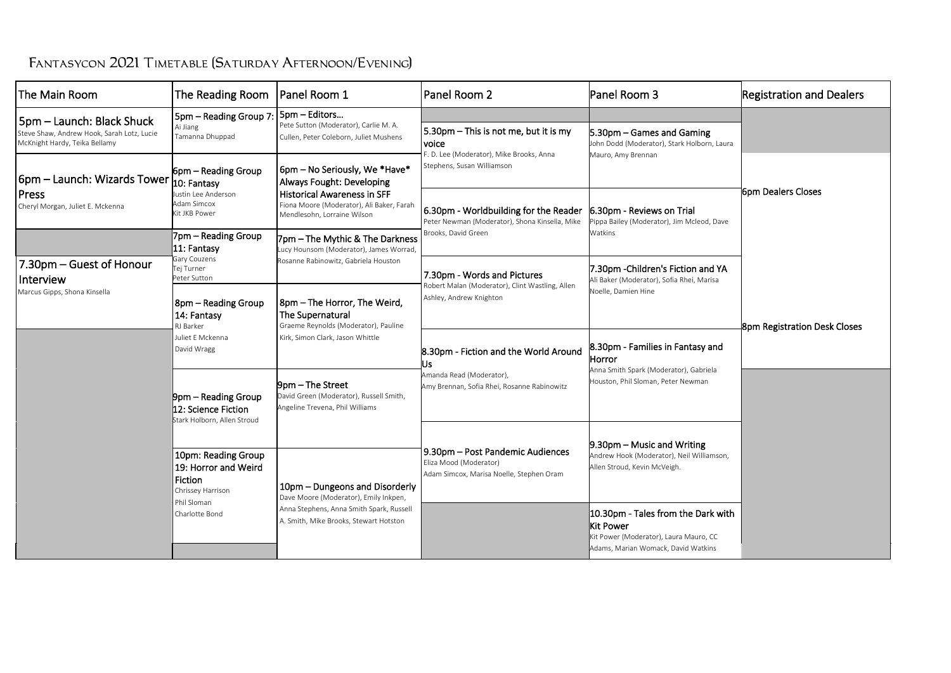|  | FANTASYCON 2021 TIMETABLE (SATURDAY AFTERNOON/EVENING) |
|--|--------------------------------------------------------|
|--|--------------------------------------------------------|

| The Main Room                                                                                            | The Reading Room                                                                                             | Panel Room 1                                                                                                                                                                                                                                                                                       | Panel Room 2                                                                                                             | Panel Room 3                                                                                                               | <b>Registration and Dealers</b> |
|----------------------------------------------------------------------------------------------------------|--------------------------------------------------------------------------------------------------------------|----------------------------------------------------------------------------------------------------------------------------------------------------------------------------------------------------------------------------------------------------------------------------------------------------|--------------------------------------------------------------------------------------------------------------------------|----------------------------------------------------------------------------------------------------------------------------|---------------------------------|
| 5pm - Launch: Black Shuck<br>Steve Shaw, Andrew Hook, Sarah Lotz, Lucie<br>McKnight Hardy, Teika Bellamy | 5pm - Reading Group 7<br>Ai Jiang<br>Tamanna Dhuppad                                                         | 5pm - Editors<br>Pete Sutton (Moderator), Carlie M. A.<br>Cullen, Peter Coleborn, Juliet Mushens                                                                                                                                                                                                   | 5.30pm - This is not me, but it is my<br>voice<br>F. D. Lee (Moderator), Mike Brooks, Anna<br>Stephens, Susan Williamson | 5.30pm – Games and Gaming<br>John Dodd (Moderator), Stark Holborn, Laura<br>Mauro, Amy Brennan                             |                                 |
| 6pm – Launch: Wizards Tower                                                                              | 6pm – Reading Group<br>10: Fantasy                                                                           | 6pm - No Seriously, We *Have*<br>Always Fought: Developing<br><b>Historical Awareness in SFF</b><br>Fiona Moore (Moderator), Ali Baker, Farah<br>Mendlesohn, Lorraine Wilson<br>7pm – The Mythic & The Darkness<br>Lucy Hounsom (Moderator), James Worrad,<br>Rosanne Rabinowitz, Gabriela Houston |                                                                                                                          |                                                                                                                            | <b>l</b> 6pm Dealers Closes     |
| l Press<br>Cheryl Morgan, Juliet E. Mckenna                                                              | Justin Lee Anderson<br><b>Adam Simcox</b><br>Kit JKB Power                                                   |                                                                                                                                                                                                                                                                                                    | 6.30pm - Worldbuilding for the Reader<br>Peter Newman (Moderator), Shona Kinsella, Mike<br>Brooks, David Green           | 6.30pm - Reviews on Trial<br>Pippa Bailey (Moderator), Jim Mcleod, Dave<br>Watkins                                         |                                 |
|                                                                                                          | 7pm – Reading Group<br>11: Fantasy                                                                           |                                                                                                                                                                                                                                                                                                    |                                                                                                                          |                                                                                                                            |                                 |
| 7.30pm – Guest of Honour<br>Interview                                                                    | Gary Couzens<br>Tej Turner<br>Peter Sutton                                                                   |                                                                                                                                                                                                                                                                                                    | 7.30pm - Words and Pictures<br>Robert Malan (Moderator), Clint Wastling, Allen<br>Ashley, Andrew Knighton                | 7.30pm -Children's Fiction and YA<br>Ali Baker (Moderator), Sofia Rhei, Marisa<br>Noelle. Damien Hine                      |                                 |
| Marcus Gipps, Shona Kinsella                                                                             | 8pm – Reading Group<br>14: Fantasy<br>RJ Barker<br>Juliet E Mckenna<br>David Wragg                           | 8pm - The Horror, The Weird,<br>The Supernatural<br>Graeme Reynolds (Moderator), Pauline<br>Kirk, Simon Clark, Jason Whittle<br>9pm – The Street<br>David Green (Moderator), Russell Smith,<br>Angeline Trevena, Phil Williams                                                                     |                                                                                                                          |                                                                                                                            | 8pm Registration Desk Closes    |
|                                                                                                          |                                                                                                              |                                                                                                                                                                                                                                                                                                    | 8.30pm - Fiction and the World Around<br>Us.<br>Amanda Read (Moderator),<br>Amy Brennan, Sofia Rhei, Rosanne Rabinowitz  | 8.30pm - Families in Fantasy and<br>Horror<br>Anna Smith Spark (Moderator), Gabriela<br>Houston, Phil Sloman, Peter Newman |                                 |
|                                                                                                          | 9pm – Reading Group<br>12: Science Fiction<br>Stark Holborn, Allen Stroud                                    |                                                                                                                                                                                                                                                                                                    |                                                                                                                          |                                                                                                                            |                                 |
|                                                                                                          |                                                                                                              |                                                                                                                                                                                                                                                                                                    | 9.30pm - Post Pandemic Audiences<br>Eliza Mood (Moderator)<br>Adam Simcox, Marisa Noelle, Stephen Oram                   | $9.30pm - Music$ and Writing<br>Andrew Hook (Moderator), Neil Williamson,<br>Allen Stroud, Kevin McVeigh.                  |                                 |
|                                                                                                          | 10pm: Reading Group<br>19: Horror and Weird<br>Fiction<br>Chrissey Harrison<br>Phil Sloman<br>Charlotte Bond | 10pm – Dungeons and Disorderly<br>Dave Moore (Moderator), Emily Inkpen,<br>Anna Stephens, Anna Smith Spark, Russell<br>A. Smith, Mike Brooks, Stewart Hotston                                                                                                                                      |                                                                                                                          |                                                                                                                            |                                 |
|                                                                                                          |                                                                                                              |                                                                                                                                                                                                                                                                                                    |                                                                                                                          | 10.30pm - Tales from the Dark with<br>Kit Power<br>Kit Power (Moderator), Laura Mauro, CC                                  |                                 |
|                                                                                                          |                                                                                                              |                                                                                                                                                                                                                                                                                                    |                                                                                                                          | Adams, Marian Womack, David Watkins                                                                                        |                                 |